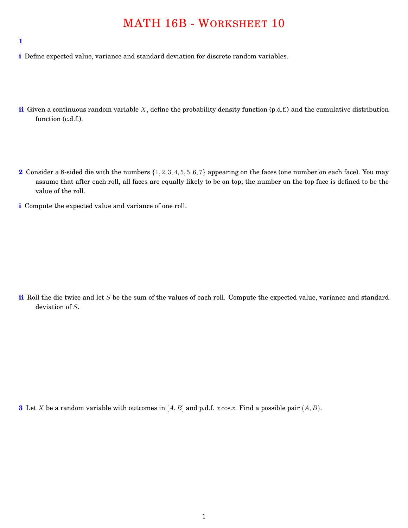## MATH 16B - WORKSHEET 10

**1**

- **i** Define expected value, variance and standard deviation for discrete random variables.
- **ii** Given a continuous random variable *X*, define the probability density function (p.d.f.) and the cumulative distribution function (c.d.f.).
- **2** Consider a 8-sided die with the numbers *{*1*,* 2*,* 3*,* 4*,* 5*,* 5*,* 6*,* 7*}* appearing on the faces (one number on each face). You may assume that after each roll, all faces are equally likely to be on top; the number on the top face is defined to be the value of the roll.
- **i** Compute the expected value and variance of one roll.

**ii** Roll the die twice and let *S* be the sum of the values of each roll. Compute the expected value, variance and standard deviation of *S*.

**3** Let *X* be a random variable with outcomes in [*A, B*] and p.d.f. *x* cos *x*. Find a possible pair (*A, B*).